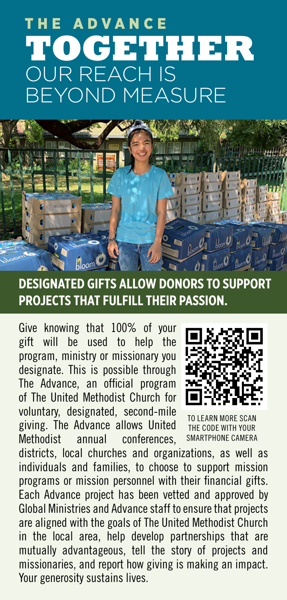# THE ADVANCE **TOGETHER**  OUR REACH IS BEYOND MEASURE



### **DESIGNATED GIFTS ALLOW DONORS TO SUPPORT PROJECTS THAT FULFILL THEIR PASSION.**

Give knowing that 100% of your gift will be used to help the program, ministry or missionary you designate. This is possible through The Advance, an official program of The United Methodist Church for voluntary, designated, second-mile giving. The Advance allows United Methodist annual conferences,



**FARN MORE SCAN** THE CODE WITH YOUR SMARTPHONE CAMERA

districts, local churches and organizations, as well as individuals and families, to choose to support mission programs or mission personnel with their financial gifts. Each Advance project has been vetted and approved by Global Ministries and Advance staff to ensure that projects are aligned with the goals of The United Methodist Church in the local area, help develop partnerships that are mutually advantageous, tell the story of projects and missionaries, and report how giving is making an impact. Your generosity sustains lives.